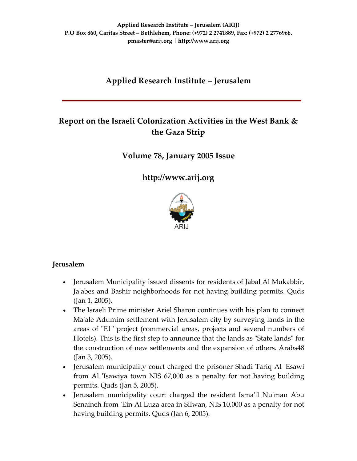# **Applied Research Institute – Jerusalem**

# **Report on the Israeli Colonization Activities in the West Bank & the Gaza Strip**

**Volume 78, January 2005 Issue**

**[http://www.arij.org](http://www.arij.org/)**



## **Jerusalem**

- Jerusalem Municipality issued dissents for residents of Jabal Al Mukabbir, Ja'abes and Bashir neighborhoods for not having building permits. Quds (Jan 1, 2005).
- The Israeli Prime minister Ariel Sharon continues with his plan to connect Ma'ale Adumim settlement with Jerusalem city by surveying lands in the areas of "E1" project (commercial areas, projects and several numbers of Hotels). This is the first step to announce that the lands as "State lands" for the construction of new settlements and the expansion of others. Arabs48 (Jan 3, 2005).
- Jerusalem municipality court charged the prisoner Shadi Tariq Al ʹEsawi from Al 'Isawiya town NIS 67,000 as a penalty for not having building permits. Quds (Jan 5, 2005).
- Jerusalem municipality court charged the resident Isma'il Nu'man Abu Senaineh from 'Ein Al Luza area in Silwan, NIS 10,000 as a penalty for not having building permits. Quds (Jan 6, 2005).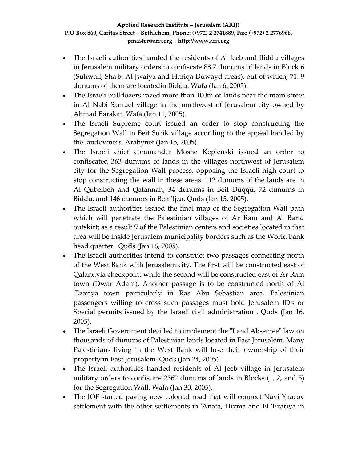- The Israeli authorities handed the residents of Al Jeeb and Biddu villages in Jerusalem military orders to confiscate 88.7 dunums of lands in Block 6 (Suhwail, Shaʹb, Al Jwaiya and Hariqa Duwayd areas), out of which, 71. 9 dunums of them are locatedin Biddu. Wafa (Jan 6, 2005).
- The Israeli bulldozers razed more than 100m of lands near the main street in Al Nabi Samuel village in the northwest of Jerusalem city owned by Ahmad Barakat. Wafa (Jan 11, 2005).
- The Israeli Supreme court issued an order to stop constructing the Segregation Wall in Beit Surik village according to the appeal handed by the landowners. Arabynet (Jan 15, 2005).
- The Israeli chief commander Moshe Keplenski issued an order to confiscated 363 dunums of lands in the villages northwest of Jerusalem city for the Segregation Wall process, opposing the Israeli high court to stop constructing the wall in these areas. 112 dunums of the lands are in Al Qubeibeh and Qatannah, 34 dunums in Beit Duqqu, 72 dunums in Biddu, and 146 dunums in Beit 'Ijza. Quds (Jan 15, 2005).
- The Israeli authorities issued the final map of the Segregation Wall path which will penetrate the Palestinian villages of Ar Ram and Al Barid outskirt; as a result 9 of the Palestinian centers and societies located in that area will be inside Jerusalem municipality borders such as the World bank head quarter. Quds (Jan 16, 2005).
- The Israeli authorities intend to construct two passages connecting north of the West Bank with Jerusalem city. The first will be constructed east of Qalandyia checkpoint while the second will be constructed east of Ar Ram town (Dwar Adam). Another passage is to be constructed north of Al ʹEzariya town particularly in Ras Abu Sebastian area. Palestinian passengers willing to cross such passages must hold Jerusalem IDʹs or Special permits issued by the Israeli civil administration . Quds (Jan 16, 2005).
- The Israeli Government decided to implement the "Land Absentee" law on thousands of dunums of Palestinian lands located in East Jerusalem. Many Palestinians living in the West Bank will lose their ownership of their property in East Jerusalem. Quds (Jan 24, 2005).
- The Israeli authorities handed residents of Al Jeeb village in Jerusalem military orders to confiscate 2362 dunums of lands in Blocks  $(1, 2,$  and 3) for the Segregation Wall. Wafa (Jan 30, 2005).
- The IOF started paving new colonial road that will connect Navi Yaacov settlement with the other settlements in 'Anata, Hizma and El 'Ezariya in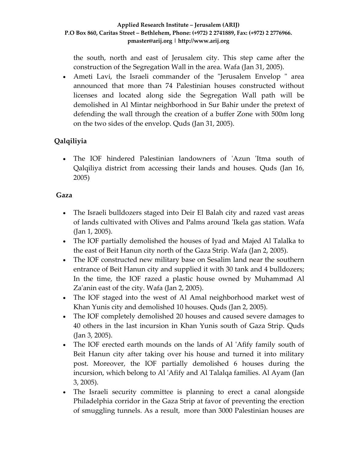the south, north and east of Jerusalem city. This step came after the construction of the Segregation Wall in the area. Wafa (Jan 31, 2005).

• Ameti Lavi, the Israeli commander of the "Jerusalem Envelop " area announced that more than 74 Palestinian houses constructed without licenses and located along side the Segregation Wall path will be demolished in Al Mintar neighborhood in Sur Bahir under the pretext of defending the wall through the creation of a buffer Zone with 500m long on the two sides of the envelop. Quds (Jan 31, 2005).

## **Qalqiliyia**

• The IOF hindered Palestinian landowners of 'Azun 'Itma south of Qalqiliya district from accessing their lands and houses. Quds (Jan 16, 2005)

## **Gaza**

- The Israeli bulldozers staged into Deir El Balah city and razed vast areas of lands cultivated with Olives and Palms around ʹIkela gas station. Wafa (Jan 1, 2005).
- The IOF partially demolished the houses of Iyad and Majed Al Talalka to the east of Beit Hanun city north of the Gaza Strip. Wafa (Jan 2, 2005).
- The IOF constructed new military base on Sesalim land near the southern entrance of Beit Hanun city and supplied it with 30 tank and 4 bulldozers; In the time, the IOF razed a plastic house owned by Muhammad Al Za'anin east of the city. Wafa (Jan 2, 2005).
- The IOF staged into the west of Al Amal neighborhood market west of Khan Yunis city and demolished 10 houses. Quds (Jan 2, 2005).
- The IOF completely demolished 20 houses and caused severe damages to 40 others in the last incursion in Khan Yunis south of Gaza Strip. Quds (Jan 3, 2005).
- The IOF erected earth mounds on the lands of Al 'Afify family south of Beit Hanun city after taking over his house and turned it into military post. Moreover, the IOF partially demolished 6 houses during the incursion, which belong to Al ʹAfify and Al Talalqa families. Al Ayam (Jan 3, 2005).
- The Israeli security committee is planning to erect a canal alongside Philadelphia corridor in the Gaza Strip at favor of preventing the erection of smuggling tunnels. As a result, more than 3000 Palestinian houses are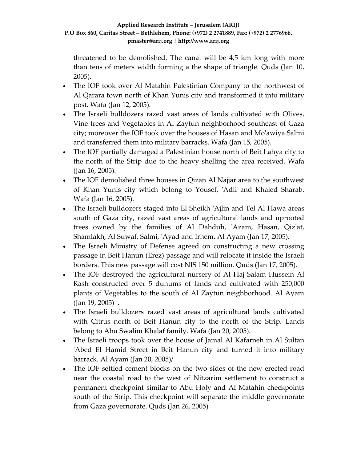threatened to be demolished. The canal will be 4,5 km long with more than tens of meters width forming a the shape of triangle. Quds (Jan 10, 2005).

- The IOF took over Al Matahin Palestinian Company to the northwest of Al Qarara town north of Khan Yunis city and transformed it into military post. Wafa (Jan 12, 2005).
- The Israeli bulldozers razed vast areas of lands cultivated with Olives, Vine trees and Vegetables in Al Zaytun neighborhood southeast of Gaza city; moreover the IOF took over the houses of Hasan and Moʹawiya Salmi and transferred them into military barracks. Wafa (Jan 15, 2005).
- The IOF partially damaged a Palestinian house north of Beit Lahya city to the north of the Strip due to the heavy shelling the area received. Wafa (Jan 16, 2005).
- The IOF demolished three houses in Qizan Al Najjar area to the southwest of Khan Yunis city which belong to Yousef, 'Adli and Khaled Sharab. Wafa (Jan 16, 2005).
- The Israeli bulldozers staged into El Sheikh 'Ajlin and Tel Al Hawa areas south of Gaza city, razed vast areas of agricultural lands and uprooted trees owned by the families of Al Dahduh, 'Azam, Hasan, Qiz'at, Shamlakh, Al Suwaf, Salmi, ʹAyad and Irhem. Al Ayam (Jan 17, 2005).
- The Israeli Ministry of Defense agreed on constructing a new crossing passage in Beit Hanun (Erez) passage and will relocate it inside the Israeli borders. This new passage will cost NIS 150 million. Quds (Jan 17, 2005).
- The IOF destroyed the agricultural nursery of Al Haj Salam Hussein Al Rash constructed over 5 dunums of lands and cultivated with 250,000 plants of Vegetables to the south of Al Zaytun neighborhood. Al Ayam (Jan 19, 2005) .
- The Israeli bulldozers razed vast areas of agricultural lands cultivated with Citrus north of Beit Hanun city to the north of the Strip. Lands belong to Abu Swalim Khalaf family. Wafa (Jan 20, 2005).
- The Israeli troops took over the house of Jamal Al Kafarneh in Al Sultan ʹAbed El Hamid Street in Beit Hanun city and turned it into military barrack. Al Ayam (Jan 20, 2005)/
- The IOF settled cement blocks on the two sides of the new erected road near the coastal road to the west of Nitzarim settlement to construct a permanent checkpoint similar to Abu Holy and Al Matahin checkpoints south of the Strip. This checkpoint will separate the middle governorate from Gaza governorate. Quds (Jan 26, 2005)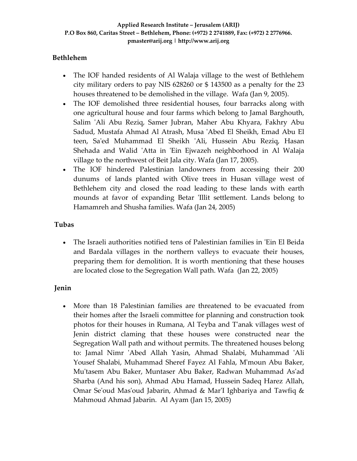## **Bethlehem**

- The IOF handed residents of Al Walaja village to the west of Bethlehem city military orders to pay NIS 628260 or \$ 143500 as a penalty for the 23 houses threatened to be demolished in the village. Wafa (Jan 9, 2005).
- The IOF demolished three residential houses, four barracks along with one agricultural house and four farms which belong to Jamal Barghouth, Salim ʹAli Abu Reziq, Samer Jubran, Maher Abu Khyara, Fakhry Abu Sadud, Mustafa Ahmad Al Atrash, Musa ʹAbed El Sheikh, Emad Abu El teen, Sa'ed Muhammad El Sheikh 'Ali, Hussein Abu Reziq, Hasan Shehada and Walid 'Atta in 'Ein Ejwazeh neighborhood in Al Walaja village to the northwest of Beit Jala city. Wafa (Jan 17, 2005).
- The IOF hindered Palestinian landowners from accessing their 200 dunums of lands planted with Olive trees in Husan village west of Bethlehem city and closed the road leading to these lands with earth mounds at favor of expanding Betar 'Illit settlement. Lands belong to Hamamreh and Shusha families. Wafa (Jan 24, 2005)

## **Tubas**

• The Israeli authorities notified tens of Palestinian families in 'Ein El Beida and Bardala villages in the northern valleys to evacuate their houses, preparing them for demolition. It is worth mentioning that these houses are located close to the Segregation Wall path. Wafa (Jan 22, 2005)

## **Jenin**

• More than 18 Palestinian families are threatened to be evacuated from their homes after the Israeli committee for planning and construction took photos for their houses in Rumana, Al Teyba and Tʹanak villages west of Jenin district claming that these houses were constructed near the Segregation Wall path and without permits. The threatened houses belong to: Jamal Nimr ʹAbed Allah Yasin, Ahmad Shalabi, Muhammad ʹAli Yousef Shalabi, Muhammad Sheref Fayez Al Fahla, Mʹmoun Abu Baker, Muʹtasem Abu Baker, Muntaser Abu Baker, Radwan Muhammad Asʹad Sharba (And his son), Ahmad Abu Hamad, Hussein Sadeq Harez Allah, Omar Se'oud Mas'oud Jabarin, Ahmad & Mar'I Ighbariya and Tawfiq & Mahmoud Ahmad Jabarin. Al Ayam (Jan 15, 2005)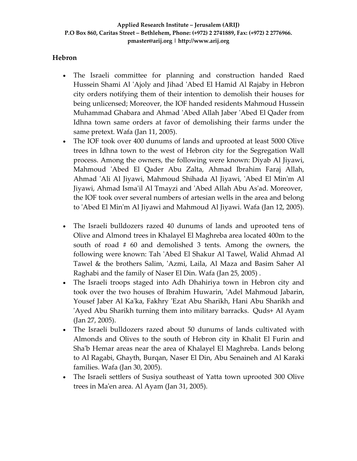### **Hebron**

- The Israeli committee for planning and construction handed Raed Hussein Shami Al 'Ajoly and Jihad 'Abed El Hamid Al Rajaby in Hebron city orders notifying them of their intention to demolish their houses for being unlicensed; Moreover, the IOF handed residents Mahmoud Hussein Muhammad Ghabara and Ahmad ʹAbed Allah Jaber ʹAbed El Qader from Idhna town same orders at favor of demolishing their farms under the same pretext. Wafa (Jan 11, 2005).
- The IOF took over 400 dunums of lands and uprooted at least 5000 Olive trees in Idhna town to the west of Hebron city for the Segregation Wall process. Among the owners, the following were known: Diyab Al Jiyawi, Mahmoud ʹAbed El Qader Abu Zalta, Ahmad Ibrahim Faraj Allah, Ahmad ʹAli Al Jiyawi, Mahmoud Shihada Al Jiyawi, ʹAbed El Minʹm Al Jiyawi, Ahmad Ismaʹil Al Tmayzi and ʹAbed Allah Abu Asʹad. Moreover, the IOF took over several numbers of artesian wells in the area and belong to ʹAbed El Minʹm Al Jiyawi and Mahmoud Al Jiyawi. Wafa (Jan 12, 2005).
- The Israeli bulldozers razed 40 dunums of lands and uprooted tens of Olive and Almond trees in Khalayel El Maghreba area located 400m to the south of road # 60 and demolished 3 tents. Among the owners, the following were known: Tah ʹAbed El Shakur Al Tawel, Walid Ahmad Al Tawel & the brothers Salim, 'Azmi, Laila, Al Maza and Basim Saher Al Raghabi and the family of Naser El Din. Wafa (Jan 25, 2005) .
- The Israeli troops staged into Adh Dhahiriya town in Hebron city and took over the two houses of Ibrahim Huwarin, 'Adel Mahmoud Jabarin, Yousef Jaber Al Kaʹka, Fakhry ʹEzat Abu Sharikh, Hani Abu Sharikh and 'Ayed Abu Sharikh turning them into military barracks. Quds+ Al Ayam (Jan 27, 2005).
- The Israeli bulldozers razed about 50 dunums of lands cultivated with Almonds and Olives to the south of Hebron city in Khalit El Furin and Sha'b Hemar areas near the area of Khalayel El Maghreba. Lands belong to Al Ragabi, Ghayth, Burqan, Naser El Din, Abu Senaineh and Al Karaki families. Wafa (Jan 30, 2005).
- The Israeli settlers of Susiya southeast of Yatta town uprooted 300 Olive trees in Maʹen area. Al Ayam (Jan 31, 2005).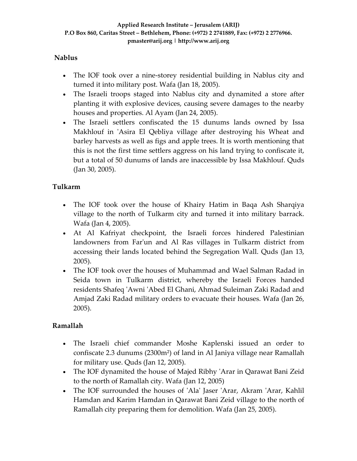## **Nablus**

- The IOF took over a nine-storey residential building in Nablus city and turned it into military post. Wafa (Jan 18, 2005).
- The Israeli troops staged into Nablus city and dynamited a store after planting it with explosive devices, causing severe damages to the nearby houses and properties. Al Ayam (Jan 24, 2005).
- The Israeli settlers confiscated the 15 dunums lands owned by Issa Makhlouf in 'Asira El Qebliya village after destroying his Wheat and barley harvests as well as figs and apple trees. It is worth mentioning that this is not the first time settlers aggress on his land trying to confiscate it, but a total of 50 dunums of lands are inaccessible by Issa Makhlouf. Quds (Jan 30, 2005).

## **Tulkarm**

- The IOF took over the house of Khairy Hatim in Baqa Ash Sharqiya village to the north of Tulkarm city and turned it into military barrack. Wafa (Jan 4, 2005).
- At Al Kafriyat checkpoint, the Israeli forces hindered Palestinian landowners from Farʹun and Al Ras villages in Tulkarm district from accessing their lands located behind the Segregation Wall. Quds (Jan 13, 2005).
- The IOF took over the houses of Muhammad and Wael Salman Radad in Seida town in Tulkarm district, whereby the Israeli Forces handed residents Shafeq ʹAwni ʹAbed El Ghani, Ahmad Suleiman Zaki Radad and Amjad Zaki Radad military orders to evacuate their houses. Wafa (Jan 26, 2005).

## **Ramallah**

- The Israeli chief commander Moshe Kaplenski issued an order to confiscate 2.3 dunums (2300m²) of land in Al Janiya village near Ramallah for military use. Quds (Jan 12, 2005).
- The IOF dynamited the house of Majed Ribhy ʹArar in Qarawat Bani Zeid to the north of Ramallah city. Wafa (Jan 12, 2005)
- The IOF surrounded the houses of 'Ala' Jaser 'Arar, Akram 'Arar, Kahlil Hamdan and Karim Hamdan in Qarawat Bani Zeid village to the north of Ramallah city preparing them for demolition. Wafa (Jan 25, 2005).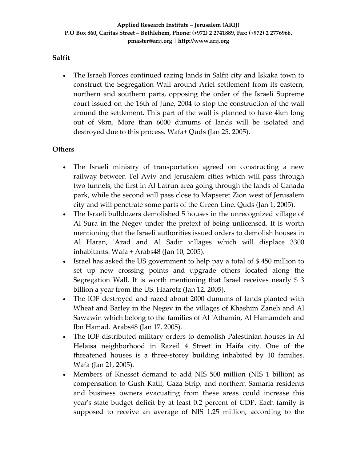### **Salfit**

• The Israeli Forces continued razing lands in Salfit city and Iskaka town to construct the Segregation Wall around Ariel settlement from its eastern, northern and southern parts, opposing the order of the Israeli Supreme court issued on the 16th of June, 2004 to stop the construction of the wall around the settlement. This part of the wall is planned to have 4km long out of 9km. More than 6000 dunums of lands will be isolated and destroyed due to this process. Wafa+ Quds (Jan 25, 2005).

#### **Others**

- The Israeli ministry of transportation agreed on constructing a new railway between Tel Aviv and Jerusalem cities which will pass through two tunnels, the first in Al Latrun area going through the lands of Canada park, while the second will pass close to Mapseret Zion west of Jerusalem city and will penetrate some parts of the Green Line. Quds (Jan 1, 2005).
- The Israeli bulldozers demolished 5 houses in the unrecognized village of Al Sura in the Negev under the pretext of being unlicensed. It is worth mentioning that the Israeli authorities issued orders to demolish houses in Al Haran, 'Arad and Al Sadir villages which will displace 3300 inhabitants. Wafa + Arabs48 (Jan 10, 2005).
- Israel has asked the US government to help pay a total of \$450 million to set up new crossing points and upgrade others located along the Segregation Wall. It is worth mentioning that Israel receives nearly \$ 3 billion a year from the US. Haaretz (Jan 12, 2005).
- The IOF destroyed and razed about 2000 dunums of lands planted with Wheat and Barley in the Negev in the villages of Khashim Zaneh and Al Sawawin which belong to the families of Al ʹAthamin, Al Hamamdeh and Ibn Hamad. Arabs48 (Jan 17, 2005).
- The IOF distributed military orders to demolish Palestinian houses in Al Helaisa neighborhood in Razeil 4 Street in Haifa city. One of the threatened houses is a three‐storey building inhabited by 10 families. Wafa (Jan 21, 2005).
- Members of Knesset demand to add NIS 500 million (NIS 1 billion) as compensation to Gush Katif, Gaza Strip, and northern Samaria residents and business owners evacuating from these areas could increase this yearʹs state budget deficit by at least 0.2 percent of GDP. Each family is supposed to receive an average of NIS 1.25 million, according to the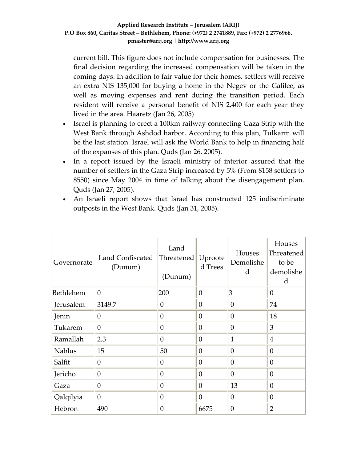current bill. This figure does not include compensation for businesses. The final decision regarding the increased compensation will be taken in the coming days. In addition to fair value for their homes, settlers will receive an extra NIS 135,000 for buying a home in the Negev or the Galilee, as well as moving expenses and rent during the transition period. Each resident will receive a personal benefit of NIS 2,400 for each year they lived in the area. Haaretz (Jan 26, 2005)

- Israel is planning to erect a 100km railway connecting Gaza Strip with the West Bank through Ashdod harbor. According to this plan, Tulkarm will be the last station. Israel will ask the World Bank to help in financing half of the expanses of this plan. Quds (Jan 26, 2005).
- In a report issued by the Israeli ministry of interior assured that the number of settlers in the Gaza Strip increased by 5% (From 8158 settlers to 8550) since May 2004 in time of talking about the disengagement plan. Quds (Jan 27, 2005).
- An Israeli report shows that Israel has constructed 125 indiscriminate outposts in the West Bank. Quds (Jan 31, 2005).

| Governorate      | Land Confiscated<br>(Dunum) | Land<br>Threatened<br>(Dunum) | Uproote<br>d Trees | Houses<br>Demolishe<br>$\mathbf d$ | Houses<br>Threatened<br>to be<br>demolishe<br>d |
|------------------|-----------------------------|-------------------------------|--------------------|------------------------------------|-------------------------------------------------|
| <b>Bethlehem</b> | $\overline{0}$              | 200                           | $\theta$           | $\overline{3}$                     | $\theta$                                        |
| Jerusalem        | 3149.7                      | $\theta$                      | $\theta$           | $\theta$                           | 74                                              |
| Jenin            | $\theta$                    | $\overline{0}$                | $\theta$           | $\theta$                           | 18                                              |
| Tukarem          | $\overline{0}$              | $\theta$                      | $\theta$           | $\theta$                           | 3                                               |
| Ramallah         | 2.3                         | $\overline{0}$                | $\theta$           | 1                                  | $\overline{4}$                                  |
| <b>Nablus</b>    | 15                          | 50                            | $\theta$           | $\overline{0}$                     | $\theta$                                        |
| Salfit           | 0                           | $\theta$                      | $\theta$           | 0                                  | $\boldsymbol{0}$                                |
| Jericho          | 0                           | $\overline{0}$                | $\theta$           | $\overline{0}$                     | $\theta$                                        |
| Gaza             | $\boldsymbol{0}$            | $\overline{0}$                | $\theta$           | 13                                 | $\overline{0}$                                  |
| Qalqilyia        | $\boldsymbol{0}$            | $\overline{0}$                | $\overline{0}$     | $\overline{0}$                     | $\theta$                                        |
| Hebron           | 490                         | $\overline{0}$                | 6675               | $\overline{0}$                     | $\overline{2}$                                  |